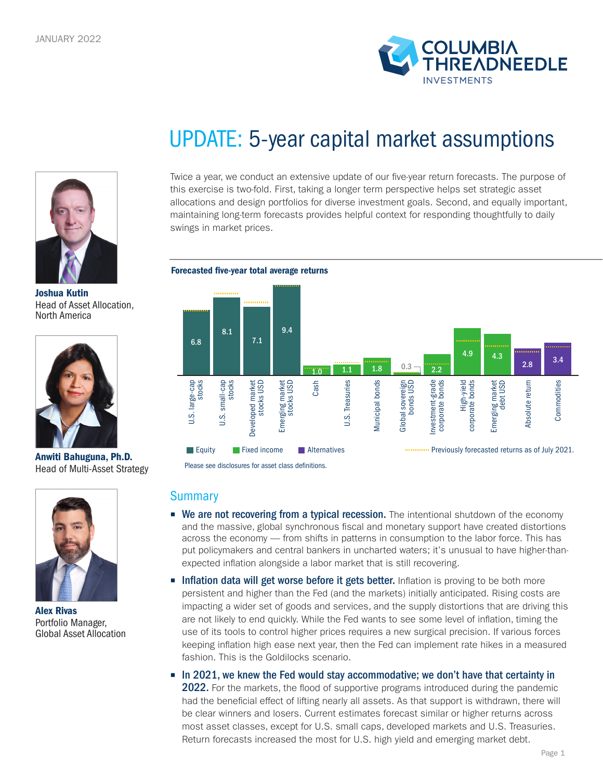



Joshua Kutin Head of Asset Allocation, North America



Anwiti Bahuguna, Ph.D. Head of Multi-Asset Strategy



Alex Rivas Portfolio Manager, Global Asset Allocation

# UPDATE: 5-year capital market assumptions

Twice a year, we conduct an extensive update of our five-year return forecasts. The purpose of this exercise is two-fold. First, taking a longer term perspective helps set strategic asset allocations and design portfolios for diverse investment goals. Second, and equally important, maintaining long-term forecasts provides helpful context for responding thoughtfully to daily swings in market prices.





Please see disclosures for asset class definitions.

### **Summary**

- We are not recovering from a typical recession. The intentional shutdown of the economy and the massive, global synchronous fiscal and monetary support have created distortions across the economy — from shifts in patterns in consumption to the labor force. This has put policymakers and central bankers in uncharted waters; it's unusual to have higher-thanexpected inflation alongside a labor market that is still recovering.
- **Inflation data will get worse before it gets better.** Inflation is proving to be both more persistent and higher than the Fed (and the markets) initially anticipated. Rising costs are impacting a wider set of goods and services, and the supply distortions that are driving this are not likely to end quickly. While the Fed wants to see some level of inflation, timing the use of its tools to control higher prices requires a new surgical precision. If various forces keeping inflation high ease next year, then the Fed can implement rate hikes in a measured fashion. This is the Goldilocks scenario.
- In 2021, we knew the Fed would stay accommodative; we don't have that certainty in 2022. For the markets, the flood of supportive programs introduced during the pandemic had the beneficial effect of lifting nearly all assets. As that support is withdrawn, there will be clear winners and losers. Current estimates forecast similar or higher returns across most asset classes, except for U.S. small caps, developed markets and U.S. Treasuries. Return forecasts increased the most for U.S. high yield and emerging market debt.